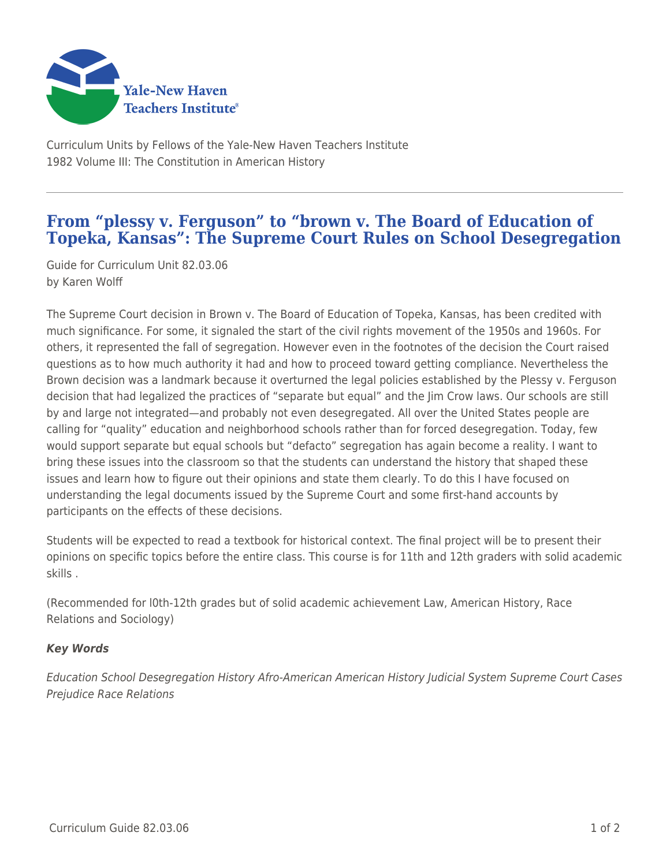

Curriculum Units by Fellows of the Yale-New Haven Teachers Institute 1982 Volume III: The Constitution in American History

## **From "plessy v. Ferguson" to "brown v. The Board of Education of Topeka, Kansas": The Supreme Court Rules on School Desegregation**

Guide for Curriculum Unit 82.03.06 by Karen Wolff

The Supreme Court decision in Brown v. The Board of Education of Topeka, Kansas, has been credited with much significance. For some, it signaled the start of the civil rights movement of the 1950s and 1960s. For others, it represented the fall of segregation. However even in the footnotes of the decision the Court raised questions as to how much authority it had and how to proceed toward getting compliance. Nevertheless the Brown decision was a landmark because it overturned the legal policies established by the Plessy v. Ferguson decision that had legalized the practices of "separate but equal" and the Jim Crow laws. Our schools are still by and large not integrated—and probably not even desegregated. All over the United States people are calling for "quality" education and neighborhood schools rather than for forced desegregation. Today, few would support separate but equal schools but "defacto" segregation has again become a reality. I want to bring these issues into the classroom so that the students can understand the history that shaped these issues and learn how to figure out their opinions and state them clearly. To do this I have focused on understanding the legal documents issued by the Supreme Court and some first-hand accounts by participants on the effects of these decisions.

Students will be expected to read a textbook for historical context. The final project will be to present their opinions on specific topics before the entire class. This course is for 11th and 12th graders with solid academic skills .

(Recommended for l0th-12th grades but of solid academic achievement Law, American History, Race Relations and Sociology)

## *Key Words*

Education School Desegregation History Afro-American American History Judicial System Supreme Court Cases Prejudice Race Relations